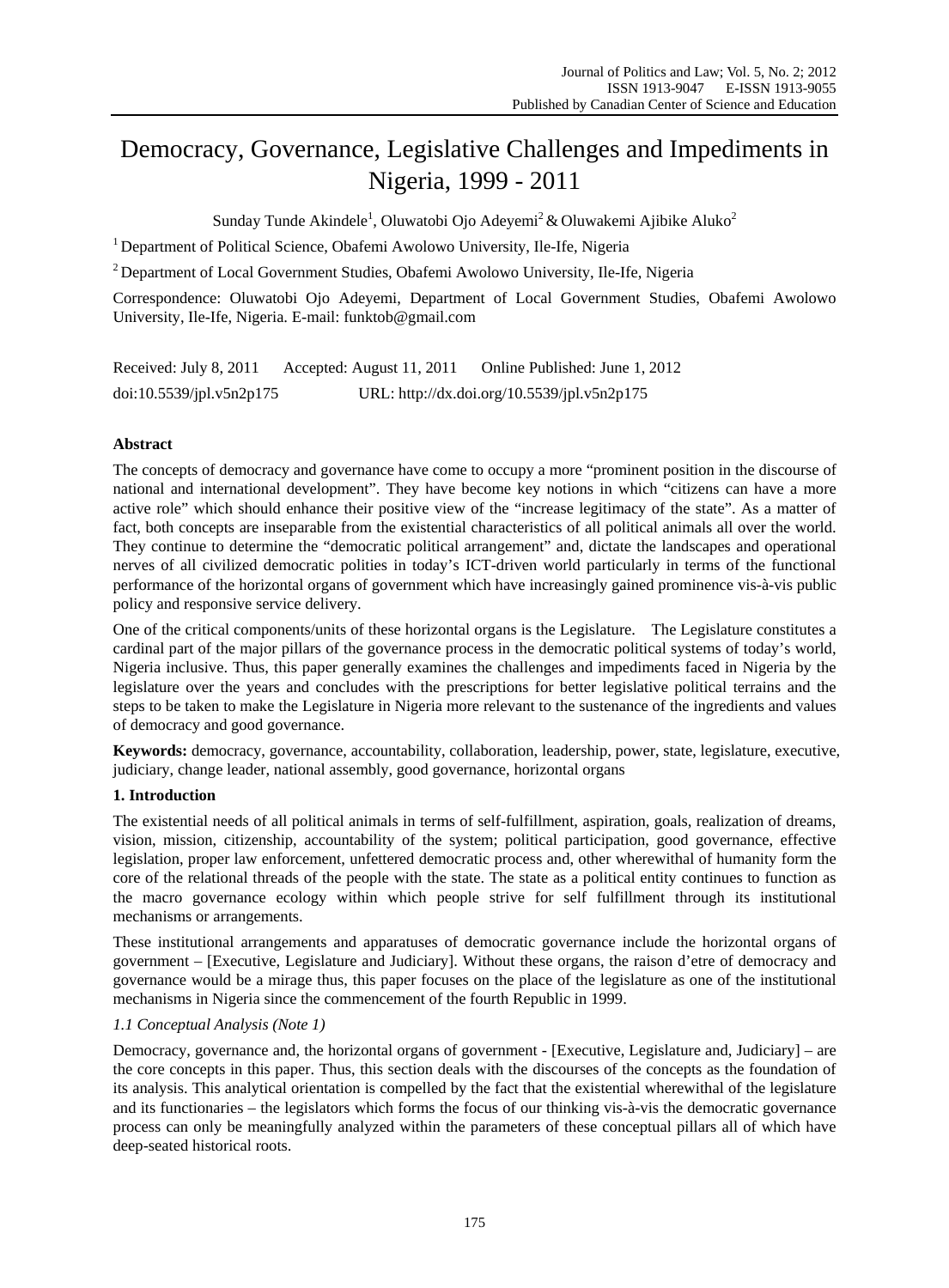# Democracy, Governance, Legislative Challenges and Impediments in Nigeria, 1999 - 2011

Sunday Tunde Akindele<sup>1</sup>, Oluwatobi Ojo Adeyemi<sup>2</sup> & Oluwakemi Ajibike Aluko<sup>2</sup>

<sup>1</sup> Department of Political Science, Obafemi Awolowo University, Ile-Ife, Nigeria

<sup>2</sup> Department of Local Government Studies, Obafemi Awolowo University, Ile-Ife, Nigeria

Correspondence: Oluwatobi Ojo Adeyemi, Department of Local Government Studies, Obafemi Awolowo University, Ile-Ife, Nigeria. E-mail: funktob@gmail.com

Received: July 8, 2011 Accepted: August 11, 2011 Online Published: June 1, 2012 doi:10.5539/jpl.v5n2p175 URL: http://dx.doi.org/10.5539/jpl.v5n2p175

## **Abstract**

The concepts of democracy and governance have come to occupy a more "prominent position in the discourse of national and international development". They have become key notions in which "citizens can have a more active role" which should enhance their positive view of the "increase legitimacy of the state". As a matter of fact, both concepts are inseparable from the existential characteristics of all political animals all over the world. They continue to determine the "democratic political arrangement" and, dictate the landscapes and operational nerves of all civilized democratic polities in today's ICT-driven world particularly in terms of the functional performance of the horizontal organs of government which have increasingly gained prominence vis-à-vis public policy and responsive service delivery.

One of the critical components/units of these horizontal organs is the Legislature. The Legislature constitutes a cardinal part of the major pillars of the governance process in the democratic political systems of today's world, Nigeria inclusive. Thus, this paper generally examines the challenges and impediments faced in Nigeria by the legislature over the years and concludes with the prescriptions for better legislative political terrains and the steps to be taken to make the Legislature in Nigeria more relevant to the sustenance of the ingredients and values of democracy and good governance.

**Keywords:** democracy, governance, accountability, collaboration, leadership, power, state, legislature, executive, judiciary, change leader, national assembly, good governance, horizontal organs

#### **1. Introduction**

The existential needs of all political animals in terms of self-fulfillment, aspiration, goals, realization of dreams, vision, mission, citizenship, accountability of the system; political participation, good governance, effective legislation, proper law enforcement, unfettered democratic process and, other wherewithal of humanity form the core of the relational threads of the people with the state. The state as a political entity continues to function as the macro governance ecology within which people strive for self fulfillment through its institutional mechanisms or arrangements.

These institutional arrangements and apparatuses of democratic governance include the horizontal organs of government – [Executive, Legislature and Judiciary]. Without these organs, the raison d'etre of democracy and governance would be a mirage thus, this paper focuses on the place of the legislature as one of the institutional mechanisms in Nigeria since the commencement of the fourth Republic in 1999.

#### *1.1 Conceptual Analysis (Note 1)*

Democracy, governance and, the horizontal organs of government - [Executive, Legislature and, Judiciary] – are the core concepts in this paper. Thus, this section deals with the discourses of the concepts as the foundation of its analysis. This analytical orientation is compelled by the fact that the existential wherewithal of the legislature and its functionaries – the legislators which forms the focus of our thinking vis-à-vis the democratic governance process can only be meaningfully analyzed within the parameters of these conceptual pillars all of which have deep-seated historical roots.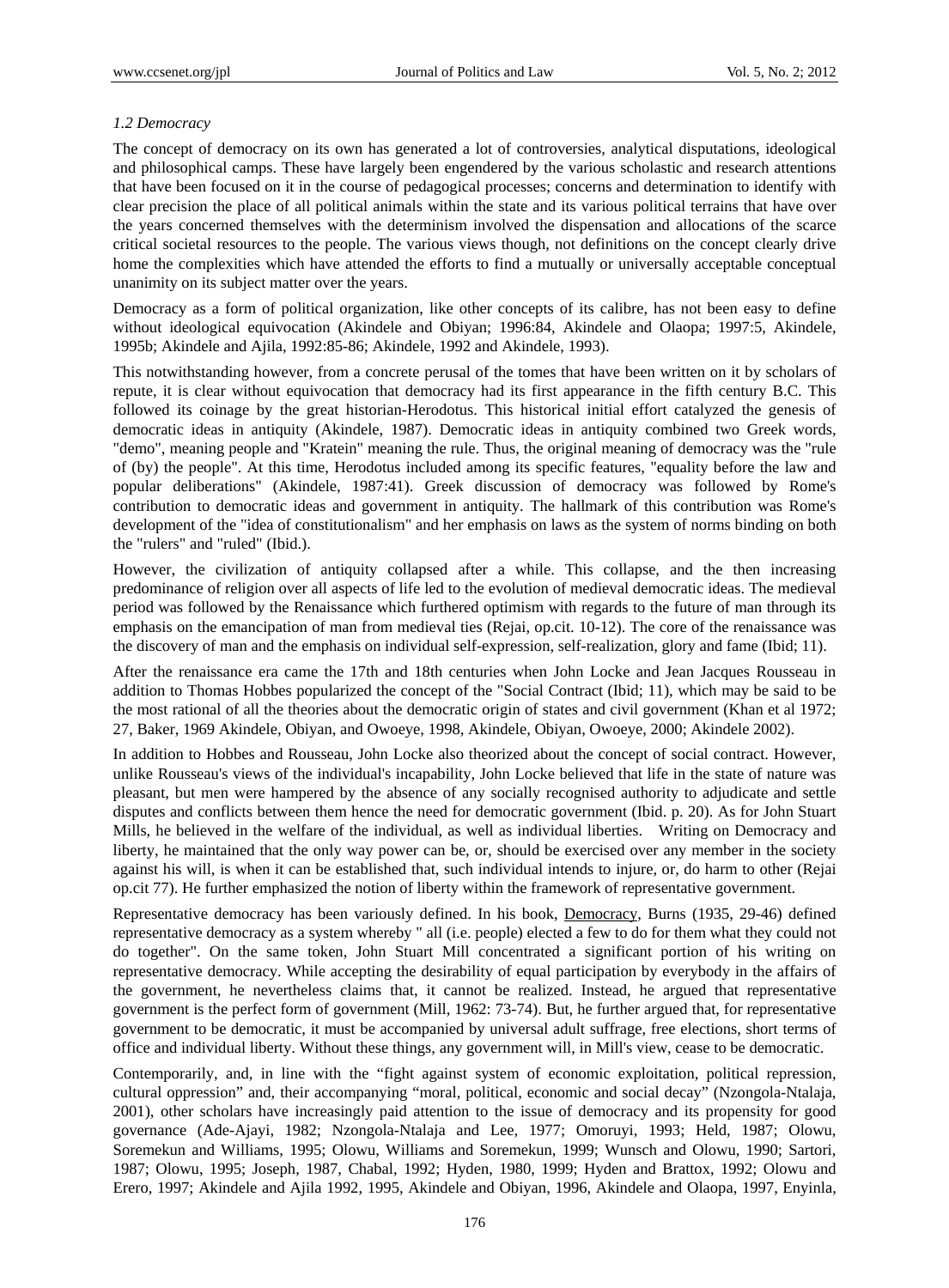## *1.2 Democracy*

The concept of democracy on its own has generated a lot of controversies, analytical disputations, ideological and philosophical camps. These have largely been engendered by the various scholastic and research attentions that have been focused on it in the course of pedagogical processes; concerns and determination to identify with clear precision the place of all political animals within the state and its various political terrains that have over the years concerned themselves with the determinism involved the dispensation and allocations of the scarce critical societal resources to the people. The various views though, not definitions on the concept clearly drive home the complexities which have attended the efforts to find a mutually or universally acceptable conceptual unanimity on its subject matter over the years.

Democracy as a form of political organization, like other concepts of its calibre, has not been easy to define without ideological equivocation (Akindele and Obiyan; 1996:84, Akindele and Olaopa; 1997:5, Akindele, 1995b; Akindele and Ajila, 1992:85-86; Akindele, 1992 and Akindele, 1993).

This notwithstanding however, from a concrete perusal of the tomes that have been written on it by scholars of repute, it is clear without equivocation that democracy had its first appearance in the fifth century B.C. This followed its coinage by the great historian-Herodotus. This historical initial effort catalyzed the genesis of democratic ideas in antiquity (Akindele, 1987). Democratic ideas in antiquity combined two Greek words, "demo", meaning people and "Kratein" meaning the rule. Thus, the original meaning of democracy was the "rule of (by) the people". At this time, Herodotus included among its specific features, "equality before the law and popular deliberations" (Akindele, 1987:41). Greek discussion of democracy was followed by Rome's contribution to democratic ideas and government in antiquity. The hallmark of this contribution was Rome's development of the "idea of constitutionalism" and her emphasis on laws as the system of norms binding on both the "rulers" and "ruled" (Ibid.).

However, the civilization of antiquity collapsed after a while. This collapse, and the then increasing predominance of religion over all aspects of life led to the evolution of medieval democratic ideas. The medieval period was followed by the Renaissance which furthered optimism with regards to the future of man through its emphasis on the emancipation of man from medieval ties (Rejai, op.cit. 10-12). The core of the renaissance was the discovery of man and the emphasis on individual self-expression, self-realization, glory and fame (Ibid; 11).

After the renaissance era came the 17th and 18th centuries when John Locke and Jean Jacques Rousseau in addition to Thomas Hobbes popularized the concept of the "Social Contract (Ibid; 11), which may be said to be the most rational of all the theories about the democratic origin of states and civil government (Khan et al 1972; 27, Baker, 1969 Akindele, Obiyan, and Owoeye, 1998, Akindele, Obiyan, Owoeye, 2000; Akindele 2002).

In addition to Hobbes and Rousseau, John Locke also theorized about the concept of social contract. However, unlike Rousseau's views of the individual's incapability, John Locke believed that life in the state of nature was pleasant, but men were hampered by the absence of any socially recognised authority to adjudicate and settle disputes and conflicts between them hence the need for democratic government (Ibid. p. 20). As for John Stuart Mills, he believed in the welfare of the individual, as well as individual liberties. Writing on Democracy and liberty, he maintained that the only way power can be, or, should be exercised over any member in the society against his will, is when it can be established that, such individual intends to injure, or, do harm to other (Rejai op.cit 77). He further emphasized the notion of liberty within the framework of representative government.

Representative democracy has been variously defined. In his book, Democracy, Burns (1935, 29-46) defined representative democracy as a system whereby " all (i.e. people) elected a few to do for them what they could not do together". On the same token, John Stuart Mill concentrated a significant portion of his writing on representative democracy. While accepting the desirability of equal participation by everybody in the affairs of the government, he nevertheless claims that, it cannot be realized. Instead, he argued that representative government is the perfect form of government (Mill, 1962: 73-74). But, he further argued that, for representative government to be democratic, it must be accompanied by universal adult suffrage, free elections, short terms of office and individual liberty. Without these things, any government will, in Mill's view, cease to be democratic.

Contemporarily, and, in line with the "fight against system of economic exploitation, political repression, cultural oppression" and, their accompanying "moral, political, economic and social decay" (Nzongola-Ntalaja, 2001), other scholars have increasingly paid attention to the issue of democracy and its propensity for good governance (Ade-Ajayi, 1982; Nzongola-Ntalaja and Lee, 1977; Omoruyi, 1993; Held, 1987; Olowu, Soremekun and Williams, 1995; Olowu, Williams and Soremekun, 1999; Wunsch and Olowu, 1990; Sartori, 1987; Olowu, 1995; Joseph, 1987, Chabal, 1992; Hyden, 1980, 1999; Hyden and Brattox, 1992; Olowu and Erero, 1997; Akindele and Ajila 1992, 1995, Akindele and Obiyan, 1996, Akindele and Olaopa, 1997, Enyinla,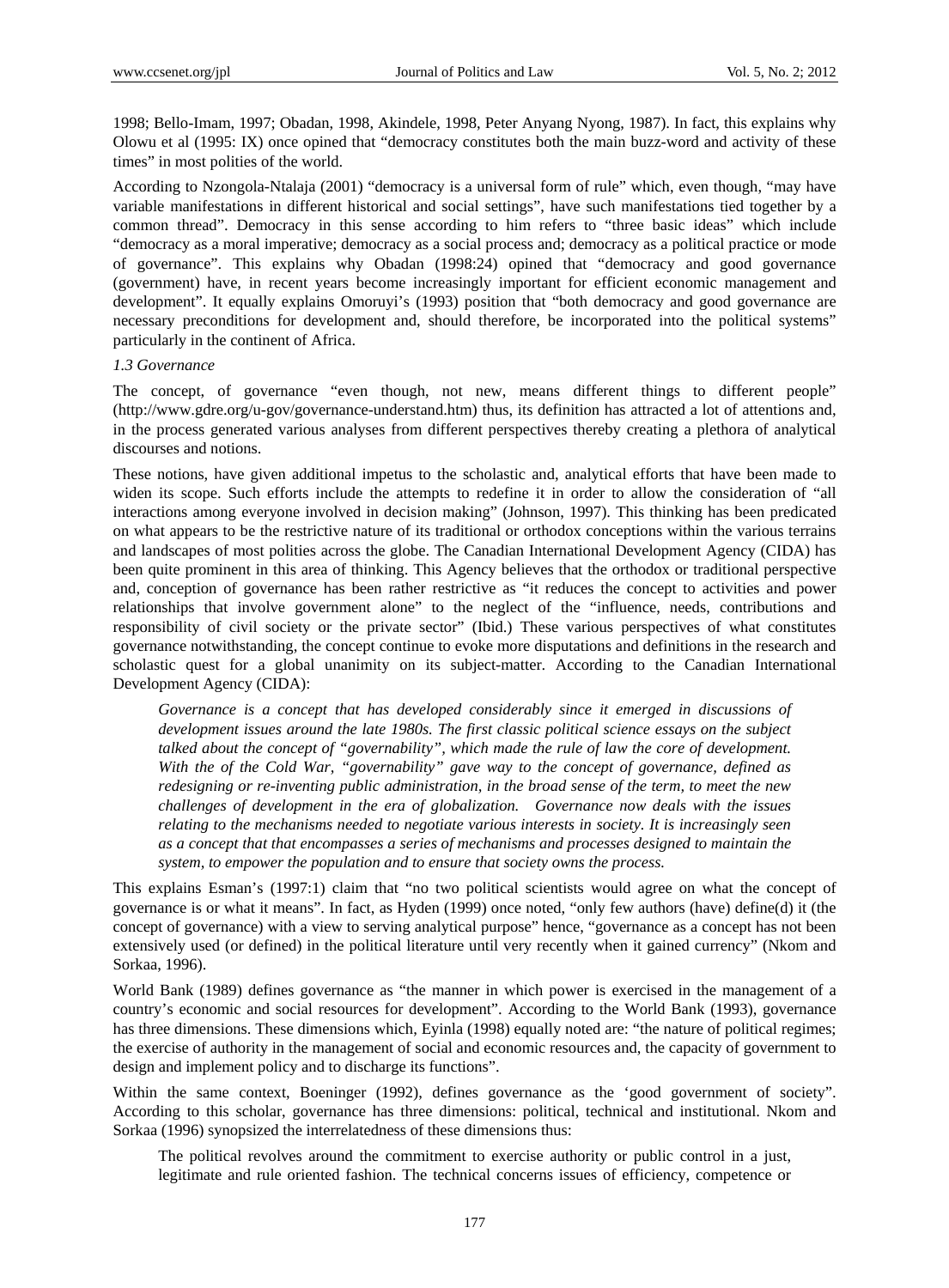1998; Bello-Imam, 1997; Obadan, 1998, Akindele, 1998, Peter Anyang Nyong, 1987). In fact, this explains why Olowu et al (1995: IX) once opined that "democracy constitutes both the main buzz-word and activity of these times" in most polities of the world.

According to Nzongola-Ntalaja (2001) "democracy is a universal form of rule" which, even though, "may have variable manifestations in different historical and social settings", have such manifestations tied together by a common thread". Democracy in this sense according to him refers to "three basic ideas" which include "democracy as a moral imperative; democracy as a social process and; democracy as a political practice or mode of governance". This explains why Obadan (1998:24) opined that "democracy and good governance (government) have, in recent years become increasingly important for efficient economic management and development". It equally explains Omoruyi's (1993) position that "both democracy and good governance are necessary preconditions for development and, should therefore, be incorporated into the political systems" particularly in the continent of Africa.

#### *1.3 Governance*

The concept, of governance "even though, not new, means different things to different people" (http://www.gdre.org/u-gov/governance-understand.htm) thus, its definition has attracted a lot of attentions and, in the process generated various analyses from different perspectives thereby creating a plethora of analytical discourses and notions.

These notions, have given additional impetus to the scholastic and, analytical efforts that have been made to widen its scope. Such efforts include the attempts to redefine it in order to allow the consideration of "all interactions among everyone involved in decision making" (Johnson, 1997). This thinking has been predicated on what appears to be the restrictive nature of its traditional or orthodox conceptions within the various terrains and landscapes of most polities across the globe. The Canadian International Development Agency (CIDA) has been quite prominent in this area of thinking. This Agency believes that the orthodox or traditional perspective and, conception of governance has been rather restrictive as "it reduces the concept to activities and power relationships that involve government alone" to the neglect of the "influence, needs, contributions and responsibility of civil society or the private sector" (Ibid.) These various perspectives of what constitutes governance notwithstanding, the concept continue to evoke more disputations and definitions in the research and scholastic quest for a global unanimity on its subject-matter. According to the Canadian International Development Agency (CIDA):

*Governance is a concept that has developed considerably since it emerged in discussions of development issues around the late 1980s. The first classic political science essays on the subject talked about the concept of "governability", which made the rule of law the core of development. With the of the Cold War, "governability" gave way to the concept of governance, defined as redesigning or re-inventing public administration, in the broad sense of the term, to meet the new challenges of development in the era of globalization. Governance now deals with the issues relating to the mechanisms needed to negotiate various interests in society. It is increasingly seen as a concept that that encompasses a series of mechanisms and processes designed to maintain the system, to empower the population and to ensure that society owns the process.*

This explains Esman's (1997:1) claim that "no two political scientists would agree on what the concept of governance is or what it means". In fact, as Hyden (1999) once noted, "only few authors (have) define(d) it (the concept of governance) with a view to serving analytical purpose" hence, "governance as a concept has not been extensively used (or defined) in the political literature until very recently when it gained currency" (Nkom and Sorkaa, 1996).

World Bank (1989) defines governance as "the manner in which power is exercised in the management of a country's economic and social resources for development". According to the World Bank (1993), governance has three dimensions. These dimensions which, Eyinla (1998) equally noted are: "the nature of political regimes; the exercise of authority in the management of social and economic resources and, the capacity of government to design and implement policy and to discharge its functions".

Within the same context, Boeninger (1992), defines governance as the 'good government of society". According to this scholar, governance has three dimensions: political, technical and institutional. Nkom and Sorkaa (1996) synopsized the interrelatedness of these dimensions thus:

The political revolves around the commitment to exercise authority or public control in a just, legitimate and rule oriented fashion. The technical concerns issues of efficiency, competence or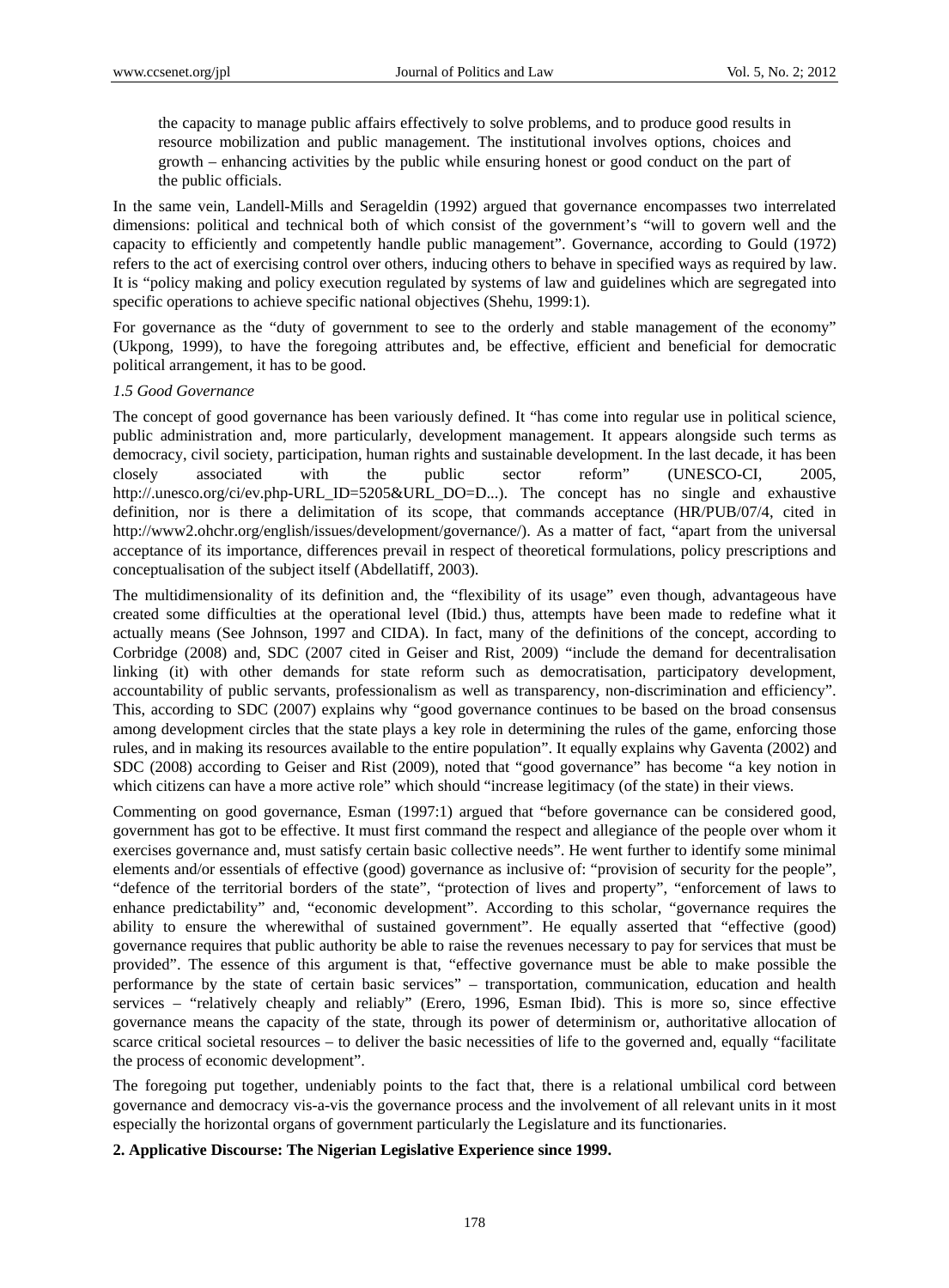the capacity to manage public affairs effectively to solve problems, and to produce good results in resource mobilization and public management. The institutional involves options, choices and growth – enhancing activities by the public while ensuring honest or good conduct on the part of the public officials.

In the same vein, Landell-Mills and Serageldin (1992) argued that governance encompasses two interrelated dimensions: political and technical both of which consist of the government's "will to govern well and the capacity to efficiently and competently handle public management". Governance, according to Gould (1972) refers to the act of exercising control over others, inducing others to behave in specified ways as required by law. It is "policy making and policy execution regulated by systems of law and guidelines which are segregated into specific operations to achieve specific national objectives (Shehu, 1999:1).

For governance as the "duty of government to see to the orderly and stable management of the economy" (Ukpong, 1999), to have the foregoing attributes and, be effective, efficient and beneficial for democratic political arrangement, it has to be good.

## *1.5 Good Governance*

The concept of good governance has been variously defined. It "has come into regular use in political science, public administration and, more particularly, development management. It appears alongside such terms as democracy, civil society, participation, human rights and sustainable development. In the last decade, it has been closely associated with the public sector reform" (UNESCO-CI, 2005, http://.unesco.org/ci/ev.php-URL\_ID=5205&URL\_DO=D...). The concept has no single and exhaustive definition, nor is there a delimitation of its scope, that commands acceptance (HR/PUB/07/4, cited in http://www2.ohchr.org/english/issues/development/governance/). As a matter of fact, "apart from the universal acceptance of its importance, differences prevail in respect of theoretical formulations, policy prescriptions and conceptualisation of the subject itself (Abdellatiff, 2003).

The multidimensionality of its definition and, the "flexibility of its usage" even though, advantageous have created some difficulties at the operational level (Ibid.) thus, attempts have been made to redefine what it actually means (See Johnson, 1997 and CIDA). In fact, many of the definitions of the concept, according to Corbridge (2008) and, SDC (2007 cited in Geiser and Rist, 2009) "include the demand for decentralisation linking (it) with other demands for state reform such as democratisation, participatory development, accountability of public servants, professionalism as well as transparency, non-discrimination and efficiency". This, according to SDC (2007) explains why "good governance continues to be based on the broad consensus among development circles that the state plays a key role in determining the rules of the game, enforcing those rules, and in making its resources available to the entire population". It equally explains why Gaventa (2002) and SDC (2008) according to Geiser and Rist (2009), noted that "good governance" has become "a key notion in which citizens can have a more active role" which should "increase legitimacy (of the state) in their views.

Commenting on good governance, Esman (1997:1) argued that "before governance can be considered good, government has got to be effective. It must first command the respect and allegiance of the people over whom it exercises governance and, must satisfy certain basic collective needs". He went further to identify some minimal elements and/or essentials of effective (good) governance as inclusive of: "provision of security for the people", "defence of the territorial borders of the state", "protection of lives and property", "enforcement of laws to enhance predictability" and, "economic development". According to this scholar, "governance requires the ability to ensure the wherewithal of sustained government". He equally asserted that "effective (good) governance requires that public authority be able to raise the revenues necessary to pay for services that must be provided". The essence of this argument is that, "effective governance must be able to make possible the performance by the state of certain basic services" – transportation, communication, education and health services – "relatively cheaply and reliably" (Erero, 1996, Esman Ibid). This is more so, since effective governance means the capacity of the state, through its power of determinism or, authoritative allocation of scarce critical societal resources – to deliver the basic necessities of life to the governed and, equally "facilitate the process of economic development".

The foregoing put together, undeniably points to the fact that, there is a relational umbilical cord between governance and democracy vis-a-vis the governance process and the involvement of all relevant units in it most especially the horizontal organs of government particularly the Legislature and its functionaries.

#### **2. Applicative Discourse: The Nigerian Legislative Experience since 1999.**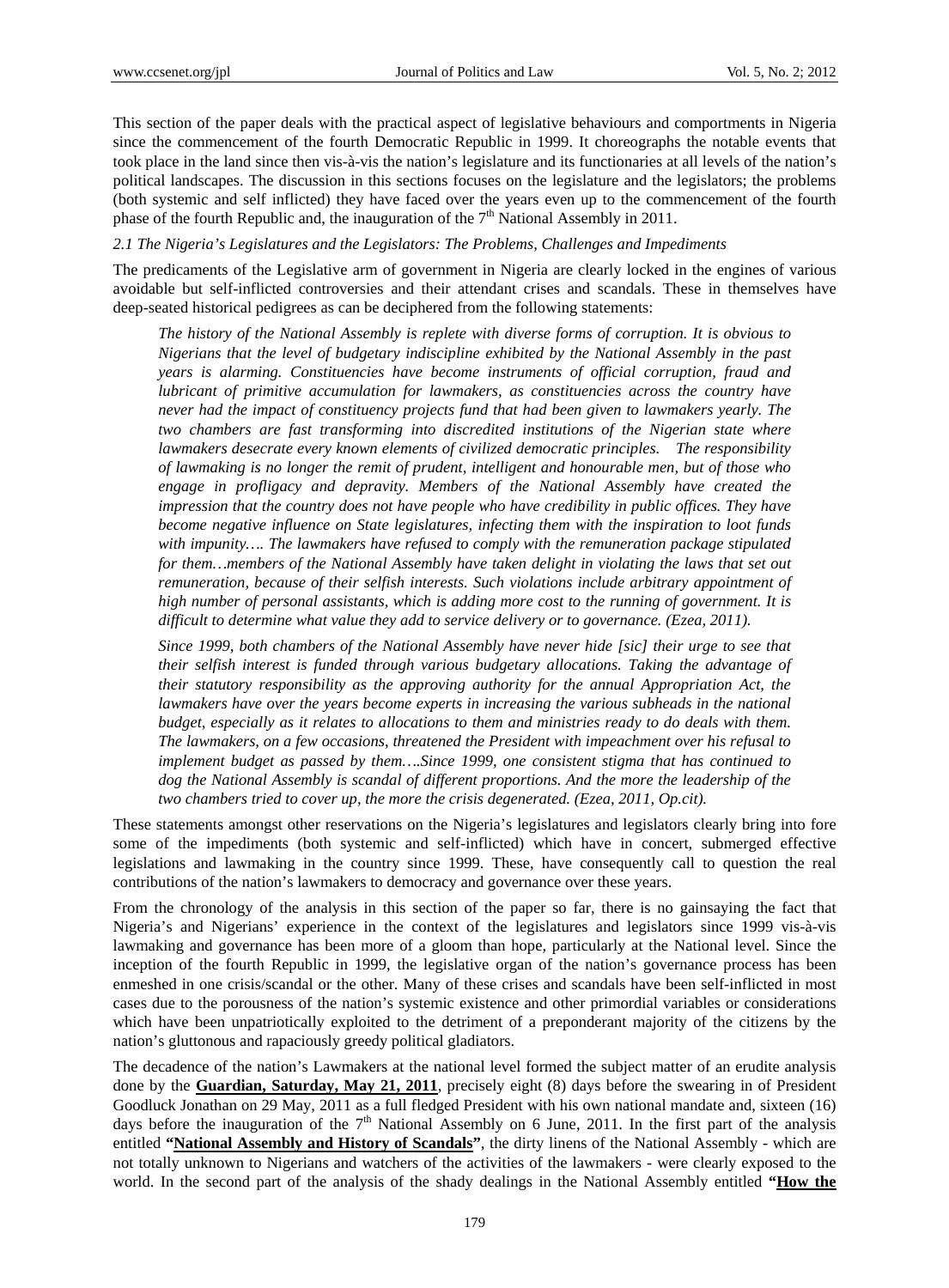This section of the paper deals with the practical aspect of legislative behaviours and comportments in Nigeria since the commencement of the fourth Democratic Republic in 1999. It choreographs the notable events that took place in the land since then vis-à-vis the nation's legislature and its functionaries at all levels of the nation's political landscapes. The discussion in this sections focuses on the legislature and the legislators; the problems (both systemic and self inflicted) they have faced over the years even up to the commencement of the fourth phase of the fourth Republic and, the inauguration of the  $7<sup>th</sup>$  National Assembly in 2011.

#### *2.1 The Nigeria's Legislatures and the Legislators: The Problems, Challenges and Impediments*

The predicaments of the Legislative arm of government in Nigeria are clearly locked in the engines of various avoidable but self-inflicted controversies and their attendant crises and scandals. These in themselves have deep-seated historical pedigrees as can be deciphered from the following statements:

*The history of the National Assembly is replete with diverse forms of corruption. It is obvious to Nigerians that the level of budgetary indiscipline exhibited by the National Assembly in the past years is alarming. Constituencies have become instruments of official corruption, fraud and lubricant of primitive accumulation for lawmakers, as constituencies across the country have never had the impact of constituency projects fund that had been given to lawmakers yearly. The two chambers are fast transforming into discredited institutions of the Nigerian state where lawmakers desecrate every known elements of civilized democratic principles. The responsibility of lawmaking is no longer the remit of prudent, intelligent and honourable men, but of those who engage in profligacy and depravity. Members of the National Assembly have created the impression that the country does not have people who have credibility in public offices. They have become negative influence on State legislatures, infecting them with the inspiration to loot funds with impunity…. The lawmakers have refused to comply with the remuneration package stipulated*  for them...members of the National Assembly have taken delight in violating the laws that set out *remuneration, because of their selfish interests. Such violations include arbitrary appointment of high number of personal assistants, which is adding more cost to the running of government. It is difficult to determine what value they add to service delivery or to governance. (Ezea, 2011).* 

*Since 1999, both chambers of the National Assembly have never hide [sic] their urge to see that their selfish interest is funded through various budgetary allocations. Taking the advantage of their statutory responsibility as the approving authority for the annual Appropriation Act, the lawmakers have over the years become experts in increasing the various subheads in the national budget, especially as it relates to allocations to them and ministries ready to do deals with them. The lawmakers, on a few occasions, threatened the President with impeachment over his refusal to implement budget as passed by them….Since 1999, one consistent stigma that has continued to*  dog the National Assembly is scandal of different proportions. And the more the leadership of the *two chambers tried to cover up, the more the crisis degenerated. (Ezea, 2011, Op.cit).* 

These statements amongst other reservations on the Nigeria's legislatures and legislators clearly bring into fore some of the impediments (both systemic and self-inflicted) which have in concert, submerged effective legislations and lawmaking in the country since 1999. These, have consequently call to question the real contributions of the nation's lawmakers to democracy and governance over these years.

From the chronology of the analysis in this section of the paper so far, there is no gainsaying the fact that Nigeria's and Nigerians' experience in the context of the legislatures and legislators since 1999 vis-à-vis lawmaking and governance has been more of a gloom than hope, particularly at the National level. Since the inception of the fourth Republic in 1999, the legislative organ of the nation's governance process has been enmeshed in one crisis/scandal or the other. Many of these crises and scandals have been self-inflicted in most cases due to the porousness of the nation's systemic existence and other primordial variables or considerations which have been unpatriotically exploited to the detriment of a preponderant majority of the citizens by the nation's gluttonous and rapaciously greedy political gladiators.

The decadence of the nation's Lawmakers at the national level formed the subject matter of an erudite analysis done by the **Guardian, Saturday, May 21, 2011**, precisely eight (8) days before the swearing in of President Goodluck Jonathan on 29 May, 2011 as a full fledged President with his own national mandate and, sixteen (16) days before the inauguration of the  $7<sup>th</sup>$  National Assembly on 6 June, 2011. In the first part of the analysis entitled **"National Assembly and History of Scandals"**, the dirty linens of the National Assembly - which are not totally unknown to Nigerians and watchers of the activities of the lawmakers - were clearly exposed to the world. In the second part of the analysis of the shady dealings in the National Assembly entitled **"How the**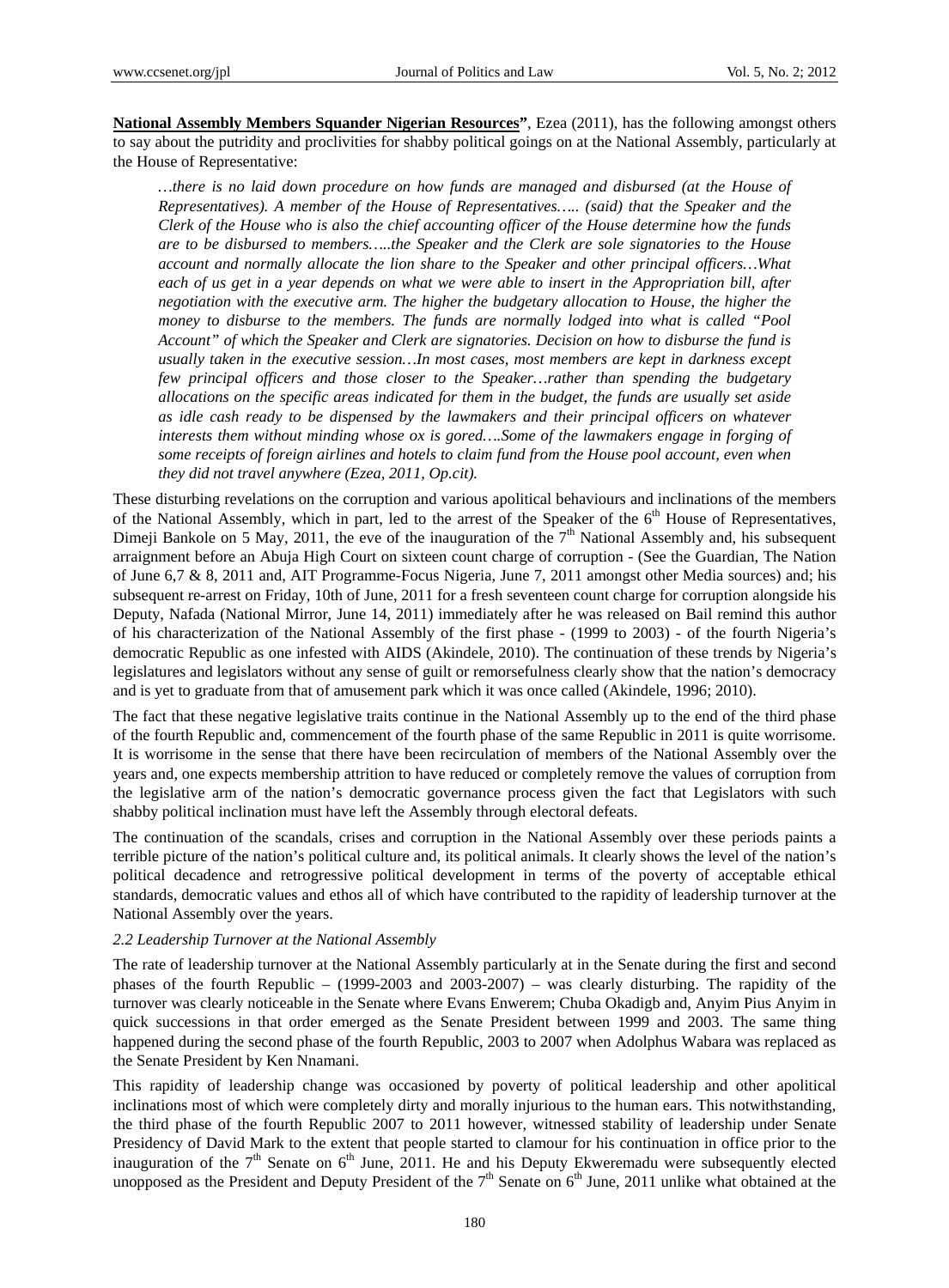**National Assembly Members Squander Nigerian Resources"**, Ezea (2011), has the following amongst others to say about the putridity and proclivities for shabby political goings on at the National Assembly, particularly at the House of Representative:

*…there is no laid down procedure on how funds are managed and disbursed (at the House of Representatives). A member of the House of Representatives….. (said) that the Speaker and the Clerk of the House who is also the chief accounting officer of the House determine how the funds are to be disbursed to members…..the Speaker and the Clerk are sole signatories to the House account and normally allocate the lion share to the Speaker and other principal officers…What each of us get in a year depends on what we were able to insert in the Appropriation bill, after negotiation with the executive arm. The higher the budgetary allocation to House, the higher the money to disburse to the members. The funds are normally lodged into what is called "Pool Account" of which the Speaker and Clerk are signatories. Decision on how to disburse the fund is usually taken in the executive session…In most cases, most members are kept in darkness except few principal officers and those closer to the Speaker…rather than spending the budgetary allocations on the specific areas indicated for them in the budget, the funds are usually set aside as idle cash ready to be dispensed by the lawmakers and their principal officers on whatever interests them without minding whose ox is gored….Some of the lawmakers engage in forging of some receipts of foreign airlines and hotels to claim fund from the House pool account, even when they did not travel anywhere (Ezea, 2011, Op.cit).* 

These disturbing revelations on the corruption and various apolitical behaviours and inclinations of the members of the National Assembly, which in part, led to the arrest of the Speaker of the  $6<sup>th</sup>$  House of Representatives, Dimeji Bankole on 5 May, 2011, the eve of the inauguration of the  $7<sup>th</sup>$  National Assembly and, his subsequent arraignment before an Abuja High Court on sixteen count charge of corruption - (See the Guardian, The Nation of June 6,7 & 8, 2011 and, AIT Programme-Focus Nigeria, June 7, 2011 amongst other Media sources) and; his subsequent re-arrest on Friday, 10th of June, 2011 for a fresh seventeen count charge for corruption alongside his Deputy, Nafada (National Mirror, June 14, 2011) immediately after he was released on Bail remind this author of his characterization of the National Assembly of the first phase - (1999 to 2003) - of the fourth Nigeria's democratic Republic as one infested with AIDS (Akindele, 2010). The continuation of these trends by Nigeria's legislatures and legislators without any sense of guilt or remorsefulness clearly show that the nation's democracy and is yet to graduate from that of amusement park which it was once called (Akindele, 1996; 2010).

The fact that these negative legislative traits continue in the National Assembly up to the end of the third phase of the fourth Republic and, commencement of the fourth phase of the same Republic in 2011 is quite worrisome. It is worrisome in the sense that there have been recirculation of members of the National Assembly over the years and, one expects membership attrition to have reduced or completely remove the values of corruption from the legislative arm of the nation's democratic governance process given the fact that Legislators with such shabby political inclination must have left the Assembly through electoral defeats.

The continuation of the scandals, crises and corruption in the National Assembly over these periods paints a terrible picture of the nation's political culture and, its political animals. It clearly shows the level of the nation's political decadence and retrogressive political development in terms of the poverty of acceptable ethical standards, democratic values and ethos all of which have contributed to the rapidity of leadership turnover at the National Assembly over the years.

#### *2.2 Leadership Turnover at the National Assembly*

The rate of leadership turnover at the National Assembly particularly at in the Senate during the first and second phases of the fourth Republic – (1999-2003 and 2003-2007) – was clearly disturbing. The rapidity of the turnover was clearly noticeable in the Senate where Evans Enwerem; Chuba Okadigb and, Anyim Pius Anyim in quick successions in that order emerged as the Senate President between 1999 and 2003. The same thing happened during the second phase of the fourth Republic, 2003 to 2007 when Adolphus Wabara was replaced as the Senate President by Ken Nnamani.

This rapidity of leadership change was occasioned by poverty of political leadership and other apolitical inclinations most of which were completely dirty and morally injurious to the human ears. This notwithstanding, the third phase of the fourth Republic 2007 to 2011 however, witnessed stability of leadership under Senate Presidency of David Mark to the extent that people started to clamour for his continuation in office prior to the inauguration of the  $7<sup>th</sup>$  Senate on  $6<sup>th</sup>$  June, 2011. He and his Deputy Ekweremadu were subsequently elected unopposed as the President and Deputy President of the  $7<sup>th</sup>$  Senate on  $6<sup>th</sup>$  June, 2011 unlike what obtained at the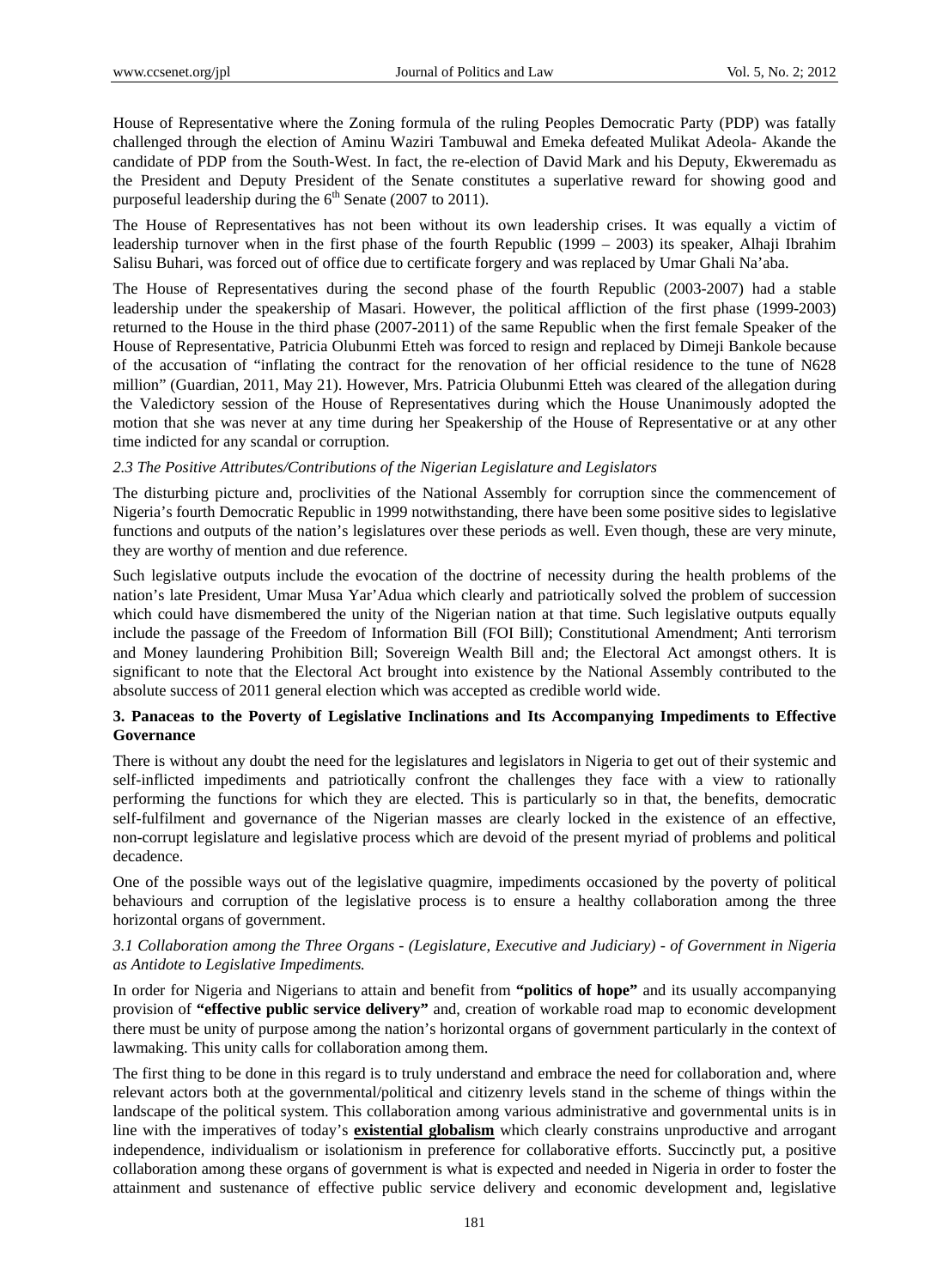House of Representative where the Zoning formula of the ruling Peoples Democratic Party (PDP) was fatally challenged through the election of Aminu Waziri Tambuwal and Emeka defeated Mulikat Adeola- Akande the candidate of PDP from the South-West. In fact, the re-election of David Mark and his Deputy, Ekweremadu as the President and Deputy President of the Senate constitutes a superlative reward for showing good and purposeful leadership during the  $6<sup>th</sup>$  Senate (2007 to 2011).

The House of Representatives has not been without its own leadership crises. It was equally a victim of leadership turnover when in the first phase of the fourth Republic (1999 – 2003) its speaker, Alhaji Ibrahim Salisu Buhari, was forced out of office due to certificate forgery and was replaced by Umar Ghali Na'aba.

The House of Representatives during the second phase of the fourth Republic (2003-2007) had a stable leadership under the speakership of Masari. However, the political affliction of the first phase (1999-2003) returned to the House in the third phase (2007-2011) of the same Republic when the first female Speaker of the House of Representative, Patricia Olubunmi Etteh was forced to resign and replaced by Dimeji Bankole because of the accusation of "inflating the contract for the renovation of her official residence to the tune of N628 million" (Guardian, 2011, May 21). However, Mrs. Patricia Olubunmi Etteh was cleared of the allegation during the Valedictory session of the House of Representatives during which the House Unanimously adopted the motion that she was never at any time during her Speakership of the House of Representative or at any other time indicted for any scandal or corruption.

#### *2.3 The Positive Attributes/Contributions of the Nigerian Legislature and Legislators*

The disturbing picture and, proclivities of the National Assembly for corruption since the commencement of Nigeria's fourth Democratic Republic in 1999 notwithstanding, there have been some positive sides to legislative functions and outputs of the nation's legislatures over these periods as well. Even though, these are very minute, they are worthy of mention and due reference.

Such legislative outputs include the evocation of the doctrine of necessity during the health problems of the nation's late President, Umar Musa Yar'Adua which clearly and patriotically solved the problem of succession which could have dismembered the unity of the Nigerian nation at that time. Such legislative outputs equally include the passage of the Freedom of Information Bill (FOI Bill); Constitutional Amendment; Anti terrorism and Money laundering Prohibition Bill; Sovereign Wealth Bill and; the Electoral Act amongst others. It is significant to note that the Electoral Act brought into existence by the National Assembly contributed to the absolute success of 2011 general election which was accepted as credible world wide.

## **3. Panaceas to the Poverty of Legislative Inclinations and Its Accompanying Impediments to Effective Governance**

There is without any doubt the need for the legislatures and legislators in Nigeria to get out of their systemic and self-inflicted impediments and patriotically confront the challenges they face with a view to rationally performing the functions for which they are elected. This is particularly so in that, the benefits, democratic self-fulfilment and governance of the Nigerian masses are clearly locked in the existence of an effective, non-corrupt legislature and legislative process which are devoid of the present myriad of problems and political decadence.

One of the possible ways out of the legislative quagmire, impediments occasioned by the poverty of political behaviours and corruption of the legislative process is to ensure a healthy collaboration among the three horizontal organs of government.

### *3.1 Collaboration among the Three Organs - (Legislature, Executive and Judiciary) - of Government in Nigeria as Antidote to Legislative Impediments.*

In order for Nigeria and Nigerians to attain and benefit from **"politics of hope"** and its usually accompanying provision of **"effective public service delivery"** and, creation of workable road map to economic development there must be unity of purpose among the nation's horizontal organs of government particularly in the context of lawmaking. This unity calls for collaboration among them.

The first thing to be done in this regard is to truly understand and embrace the need for collaboration and, where relevant actors both at the governmental/political and citizenry levels stand in the scheme of things within the landscape of the political system. This collaboration among various administrative and governmental units is in line with the imperatives of today's **existential globalism** which clearly constrains unproductive and arrogant independence, individualism or isolationism in preference for collaborative efforts. Succinctly put, a positive collaboration among these organs of government is what is expected and needed in Nigeria in order to foster the attainment and sustenance of effective public service delivery and economic development and, legislative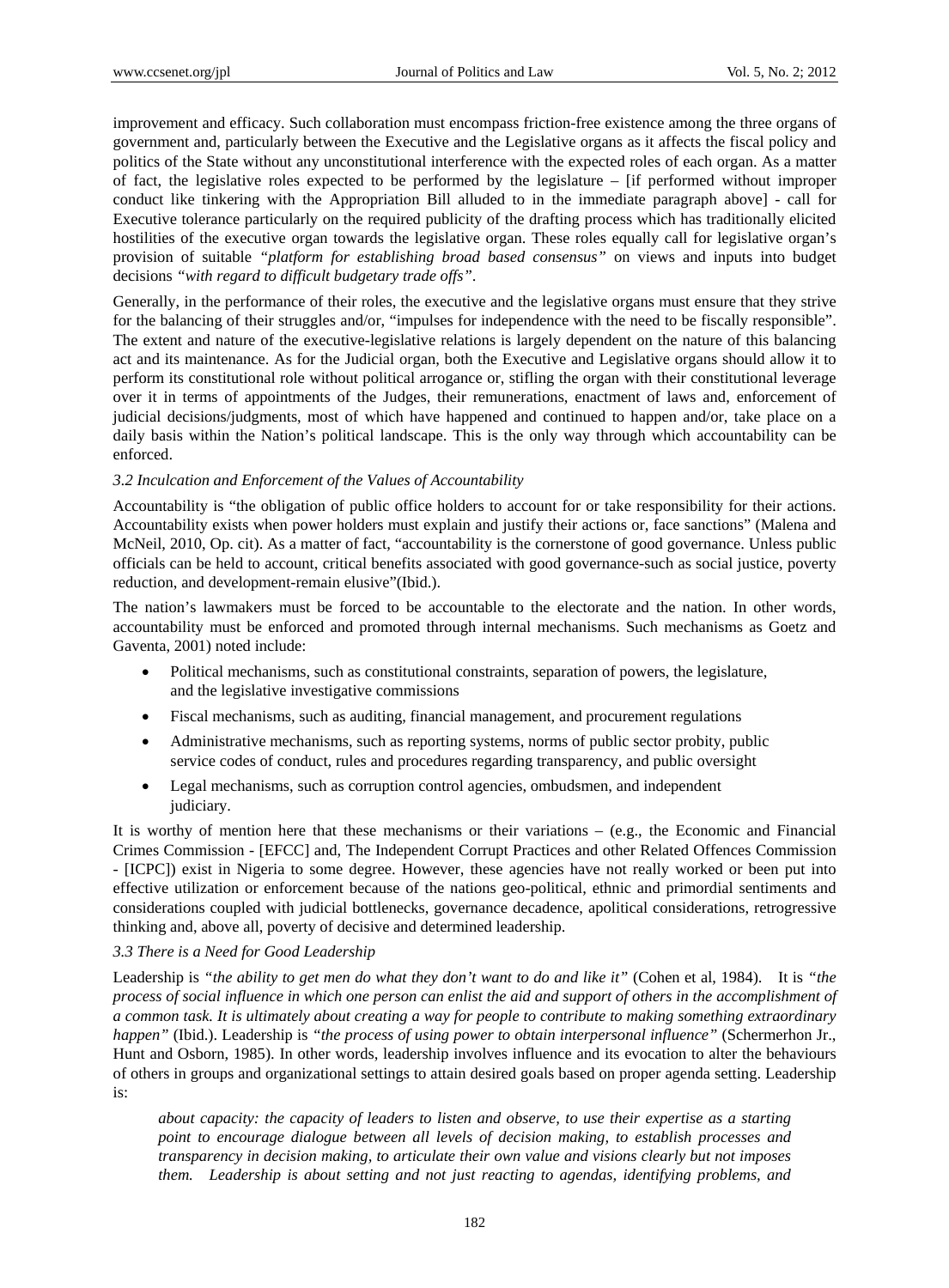improvement and efficacy. Such collaboration must encompass friction-free existence among the three organs of government and, particularly between the Executive and the Legislative organs as it affects the fiscal policy and politics of the State without any unconstitutional interference with the expected roles of each organ. As a matter of fact, the legislative roles expected to be performed by the legislature – [if performed without improper conduct like tinkering with the Appropriation Bill alluded to in the immediate paragraph above] - call for Executive tolerance particularly on the required publicity of the drafting process which has traditionally elicited hostilities of the executive organ towards the legislative organ. These roles equally call for legislative organ's provision of suitable *"platform for establishing broad based consensus"* on views and inputs into budget decisions *"with regard to difficult budgetary trade offs"*.

Generally, in the performance of their roles, the executive and the legislative organs must ensure that they strive for the balancing of their struggles and/or, "impulses for independence with the need to be fiscally responsible". The extent and nature of the executive-legislative relations is largely dependent on the nature of this balancing act and its maintenance. As for the Judicial organ, both the Executive and Legislative organs should allow it to perform its constitutional role without political arrogance or, stifling the organ with their constitutional leverage over it in terms of appointments of the Judges, their remunerations, enactment of laws and, enforcement of judicial decisions/judgments, most of which have happened and continued to happen and/or, take place on a daily basis within the Nation's political landscape. This is the only way through which accountability can be enforced.

#### *3.2 Inculcation and Enforcement of the Values of Accountability*

Accountability is "the obligation of public office holders to account for or take responsibility for their actions. Accountability exists when power holders must explain and justify their actions or, face sanctions" (Malena and McNeil, 2010, Op. cit). As a matter of fact, "accountability is the cornerstone of good governance. Unless public officials can be held to account, critical benefits associated with good governance-such as social justice, poverty reduction, and development-remain elusive"(Ibid.).

The nation's lawmakers must be forced to be accountable to the electorate and the nation. In other words, accountability must be enforced and promoted through internal mechanisms. Such mechanisms as Goetz and Gaventa, 2001) noted include:

- Political mechanisms, such as constitutional constraints, separation of powers, the legislature, and the legislative investigative commissions
- Fiscal mechanisms, such as auditing, financial management, and procurement regulations
- Administrative mechanisms, such as reporting systems, norms of public sector probity, public service codes of conduct, rules and procedures regarding transparency, and public oversight
- Legal mechanisms, such as corruption control agencies, ombudsmen, and independent judiciary.

It is worthy of mention here that these mechanisms or their variations – (e.g., the Economic and Financial Crimes Commission - [EFCC] and, The Independent Corrupt Practices and other Related Offences Commission - [ICPC]) exist in Nigeria to some degree. However, these agencies have not really worked or been put into effective utilization or enforcement because of the nations geo-political, ethnic and primordial sentiments and considerations coupled with judicial bottlenecks, governance decadence, apolitical considerations, retrogressive thinking and, above all, poverty of decisive and determined leadership.

#### *3.3 There is a Need for Good Leadership*

Leadership is *"the ability to get men do what they don't want to do and like it"* (Cohen et al, 1984). It is *"the process of social influence in which one person can enlist the aid and support of others in the accomplishment of a common task. It is ultimately about creating a way for people to contribute to making something extraordinary happen"* (Ibid.). Leadership is *"the process of using power to obtain interpersonal influence"* (Schermerhon Jr., Hunt and Osborn, 1985). In other words, leadership involves influence and its evocation to alter the behaviours of others in groups and organizational settings to attain desired goals based on proper agenda setting. Leadership is:

*about capacity: the capacity of leaders to listen and observe, to use their expertise as a starting point to encourage dialogue between all levels of decision making, to establish processes and transparency in decision making, to articulate their own value and visions clearly but not imposes them. Leadership is about setting and not just reacting to agendas, identifying problems, and*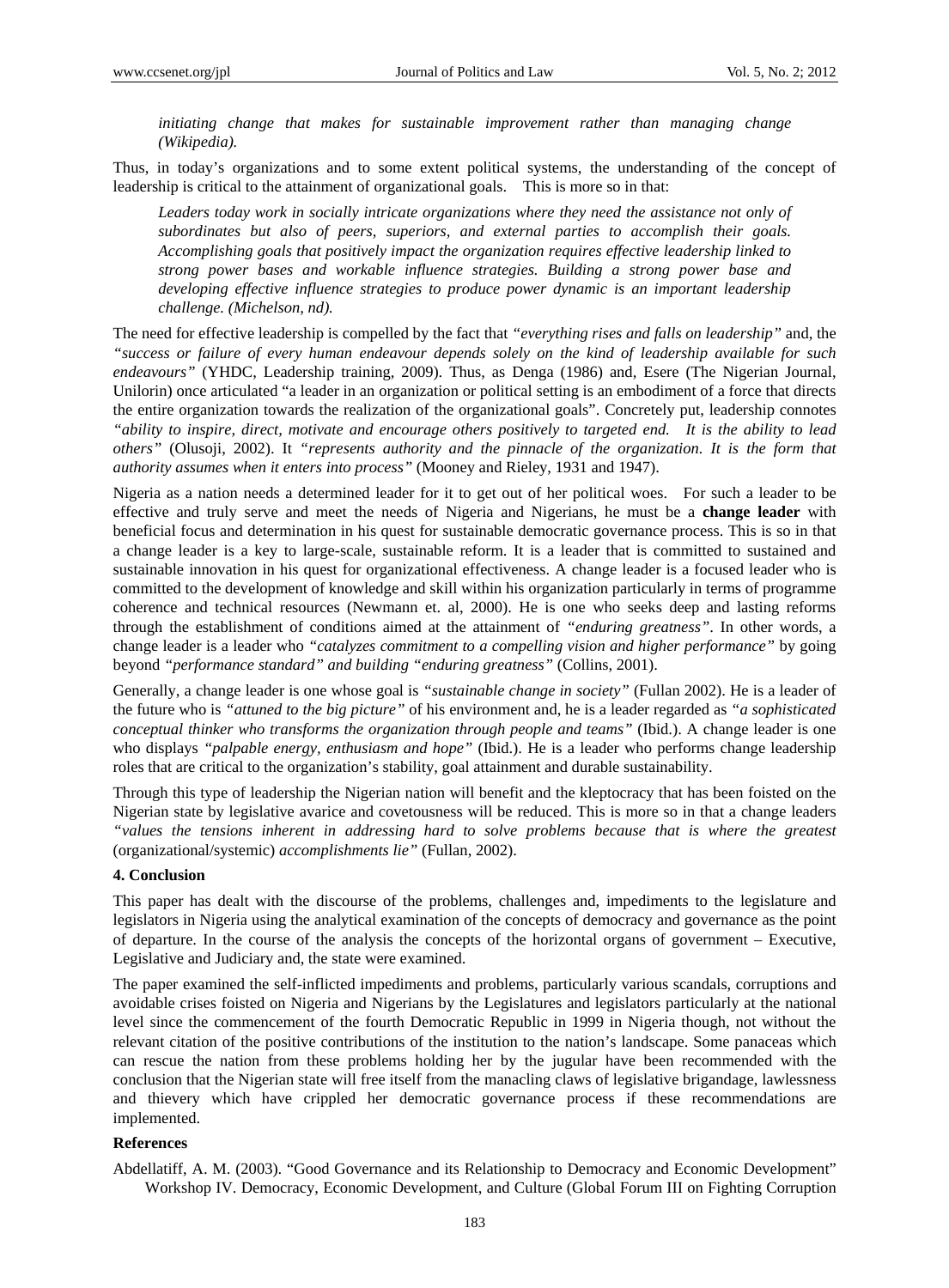*initiating change that makes for sustainable improvement rather than managing change (Wikipedia).*

Thus, in today's organizations and to some extent political systems, the understanding of the concept of leadership is critical to the attainment of organizational goals. This is more so in that:

Leaders today work in socially intricate organizations where they need the assistance not only of *subordinates but also of peers, superiors, and external parties to accomplish their goals. Accomplishing goals that positively impact the organization requires effective leadership linked to strong power bases and workable influence strategies. Building a strong power base and developing effective influence strategies to produce power dynamic is an important leadership challenge. (Michelson, nd).*

The need for effective leadership is compelled by the fact that *"everything rises and falls on leadership"* and, the *"success or failure of every human endeavour depends solely on the kind of leadership available for such endeavours"* (YHDC, Leadership training, 2009). Thus, as Denga (1986) and, Esere (The Nigerian Journal, Unilorin) once articulated "a leader in an organization or political setting is an embodiment of a force that directs the entire organization towards the realization of the organizational goals". Concretely put, leadership connotes *"ability to inspire, direct, motivate and encourage others positively to targeted end. It is the ability to lead others"* (Olusoji, 2002). It *"represents authority and the pinnacle of the organization. It is the form that authority assumes when it enters into process"* (Mooney and Rieley, 1931 and 1947).

Nigeria as a nation needs a determined leader for it to get out of her political woes. For such a leader to be effective and truly serve and meet the needs of Nigeria and Nigerians, he must be a **change leader** with beneficial focus and determination in his quest for sustainable democratic governance process. This is so in that a change leader is a key to large-scale, sustainable reform. It is a leader that is committed to sustained and sustainable innovation in his quest for organizational effectiveness. A change leader is a focused leader who is committed to the development of knowledge and skill within his organization particularly in terms of programme coherence and technical resources (Newmann et. al, 2000). He is one who seeks deep and lasting reforms through the establishment of conditions aimed at the attainment of *"enduring greatness"*. In other words, a change leader is a leader who *"catalyzes commitment to a compelling vision and higher performance"* by going beyond *"performance standard" and building "enduring greatness"* (Collins, 2001).

Generally, a change leader is one whose goal is *"sustainable change in society"* (Fullan 2002). He is a leader of the future who is *"attuned to the big picture"* of his environment and, he is a leader regarded as *"a sophisticated conceptual thinker who transforms the organization through people and teams"* (Ibid.). A change leader is one who displays *"palpable energy, enthusiasm and hope"* (Ibid.). He is a leader who performs change leadership roles that are critical to the organization's stability, goal attainment and durable sustainability.

Through this type of leadership the Nigerian nation will benefit and the kleptocracy that has been foisted on the Nigerian state by legislative avarice and covetousness will be reduced. This is more so in that a change leaders *"values the tensions inherent in addressing hard to solve problems because that is where the greatest*  (organizational/systemic) *accomplishments lie"* (Fullan, 2002).

#### **4. Conclusion**

This paper has dealt with the discourse of the problems, challenges and, impediments to the legislature and legislators in Nigeria using the analytical examination of the concepts of democracy and governance as the point of departure. In the course of the analysis the concepts of the horizontal organs of government – Executive, Legislative and Judiciary and, the state were examined.

The paper examined the self-inflicted impediments and problems, particularly various scandals, corruptions and avoidable crises foisted on Nigeria and Nigerians by the Legislatures and legislators particularly at the national level since the commencement of the fourth Democratic Republic in 1999 in Nigeria though, not without the relevant citation of the positive contributions of the institution to the nation's landscape. Some panaceas which can rescue the nation from these problems holding her by the jugular have been recommended with the conclusion that the Nigerian state will free itself from the manacling claws of legislative brigandage, lawlessness and thievery which have crippled her democratic governance process if these recommendations are implemented.

#### **References**

Abdellatiff, A. M. (2003). "Good Governance and its Relationship to Democracy and Economic Development" Workshop IV. Democracy, Economic Development, and Culture (Global Forum III on Fighting Corruption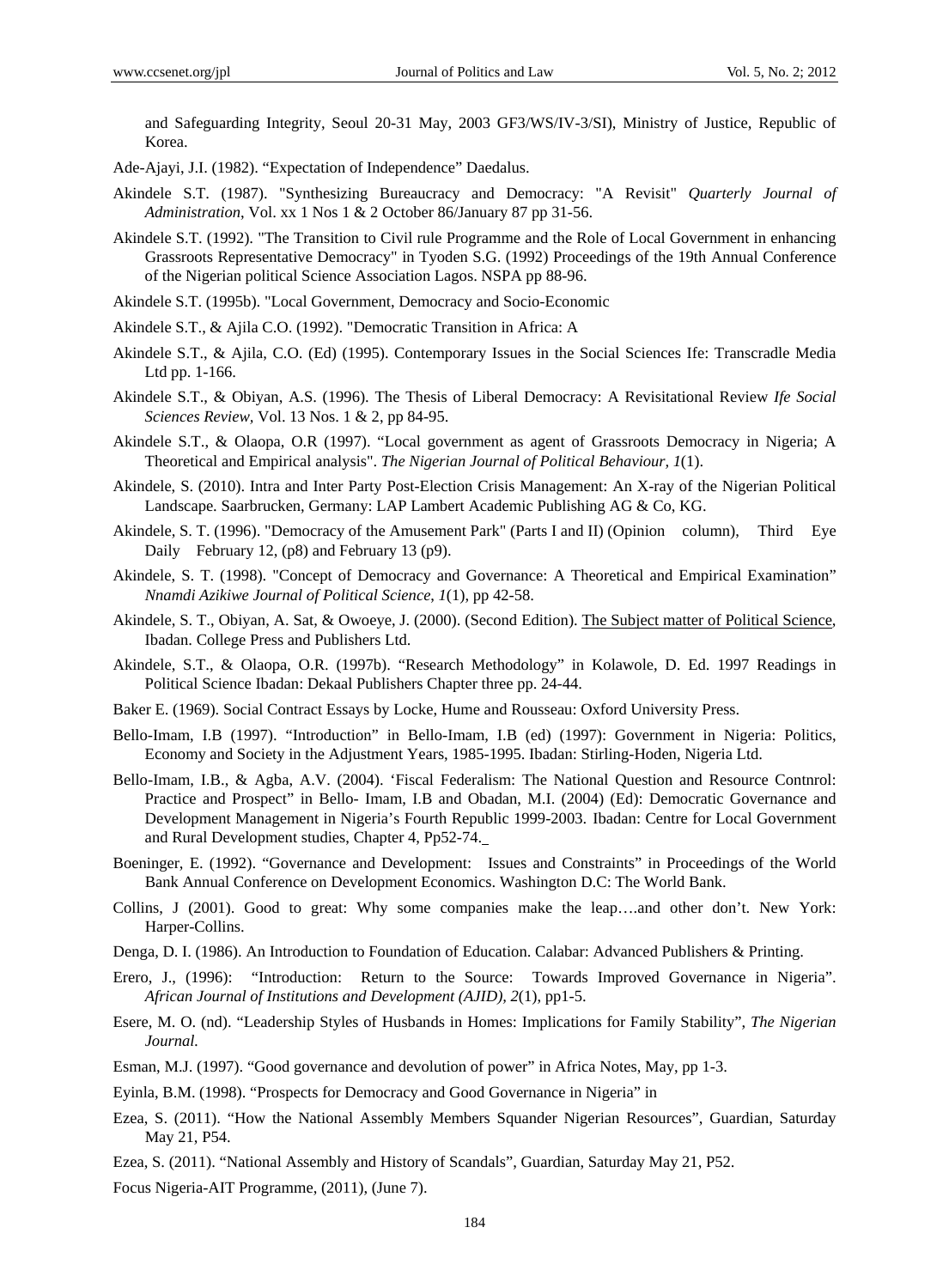and Safeguarding Integrity, Seoul 20-31 May, 2003 GF3/WS/IV-3/SI), Ministry of Justice, Republic of Korea.

Ade-Ajayi, J.I. (1982). "Expectation of Independence" Daedalus.

- Akindele S.T. (1987). "Synthesizing Bureaucracy and Democracy: "A Revisit" *Quarterly Journal of Administration*, Vol. xx 1 Nos 1 & 2 October 86/January 87 pp 31-56.
- Akindele S.T. (1992). "The Transition to Civil rule Programme and the Role of Local Government in enhancing Grassroots Representative Democracy" in Tyoden S.G. (1992) Proceedings of the 19th Annual Conference of the Nigerian political Science Association Lagos. NSPA pp 88-96.
- Akindele S.T. (1995b). "Local Government, Democracy and Socio-Economic
- Akindele S.T., & Ajila C.O. (1992). "Democratic Transition in Africa: A
- Akindele S.T., & Ajila, C.O. (Ed) (1995). Contemporary Issues in the Social Sciences Ife: Transcradle Media Ltd pp. 1-166.
- Akindele S.T., & Obiyan, A.S. (1996). The Thesis of Liberal Democracy: A Revisitational Review *Ife Social Sciences Review,* Vol. 13 Nos. 1 & 2, pp 84-95.
- Akindele S.T., & Olaopa, O.R (1997). "Local government as agent of Grassroots Democracy in Nigeria; A Theoretical and Empirical analysis". *The Nigerian Journal of Political Behaviour, 1*(1).
- Akindele, S. (2010). Intra and Inter Party Post-Election Crisis Management: An X-ray of the Nigerian Political Landscape. Saarbrucken, Germany: LAP Lambert Academic Publishing AG & Co, KG.
- Akindele, S. T. (1996). "Democracy of the Amusement Park" (Parts I and II) (Opinion column), Third Eye Daily February 12, (p8) and February 13 (p9).
- Akindele, S. T. (1998). "Concept of Democracy and Governance: A Theoretical and Empirical Examination" *Nnamdi Azikiwe Journal of Political Science*, *1*(1), pp 42-58.
- Akindele, S. T., Obiyan, A. Sat, & Owoeye, J. (2000). (Second Edition). The Subject matter of Political Science, Ibadan. College Press and Publishers Ltd.
- Akindele, S.T., & Olaopa, O.R. (1997b). "Research Methodology" in Kolawole, D. Ed. 1997 Readings in Political Science Ibadan: Dekaal Publishers Chapter three pp. 24-44.
- Baker E. (1969). Social Contract Essays by Locke, Hume and Rousseau: Oxford University Press.
- Bello-Imam, I.B (1997). "Introduction" in Bello-Imam, I.B (ed) (1997): Government in Nigeria: Politics, Economy and Society in the Adjustment Years, 1985-1995. Ibadan: Stirling-Hoden, Nigeria Ltd.
- Bello-Imam, I.B., & Agba, A.V. (2004). 'Fiscal Federalism: The National Question and Resource Contnrol: Practice and Prospect" in Bello- Imam, I.B and Obadan, M.I. (2004) (Ed): Democratic Governance and Development Management in Nigeria's Fourth Republic 1999-2003. Ibadan: Centre for Local Government and Rural Development studies, Chapter 4, Pp52-74.
- Boeninger, E. (1992). "Governance and Development: Issues and Constraints" in Proceedings of the World Bank Annual Conference on Development Economics. Washington D.C: The World Bank.
- Collins, J (2001). Good to great: Why some companies make the leap….and other don't. New York: Harper-Collins.
- Denga, D. I. (1986). An Introduction to Foundation of Education. Calabar: Advanced Publishers & Printing.
- Erero, J., (1996): "Introduction: Return to the Source: Towards Improved Governance in Nigeria". *African Journal of Institutions and Development (AJID), 2*(1), pp1-5.
- Esere, M. O. (nd). "Leadership Styles of Husbands in Homes: Implications for Family Stability", *The Nigerian Journal.*
- Esman, M.J. (1997). "Good governance and devolution of power" in Africa Notes, May, pp 1-3.
- Eyinla, B.M. (1998). "Prospects for Democracy and Good Governance in Nigeria" in
- Ezea, S. (2011). "How the National Assembly Members Squander Nigerian Resources", Guardian, Saturday May 21, P54.
- Ezea, S. (2011). "National Assembly and History of Scandals", Guardian, Saturday May 21, P52.

Focus Nigeria-AIT Programme, (2011), (June 7).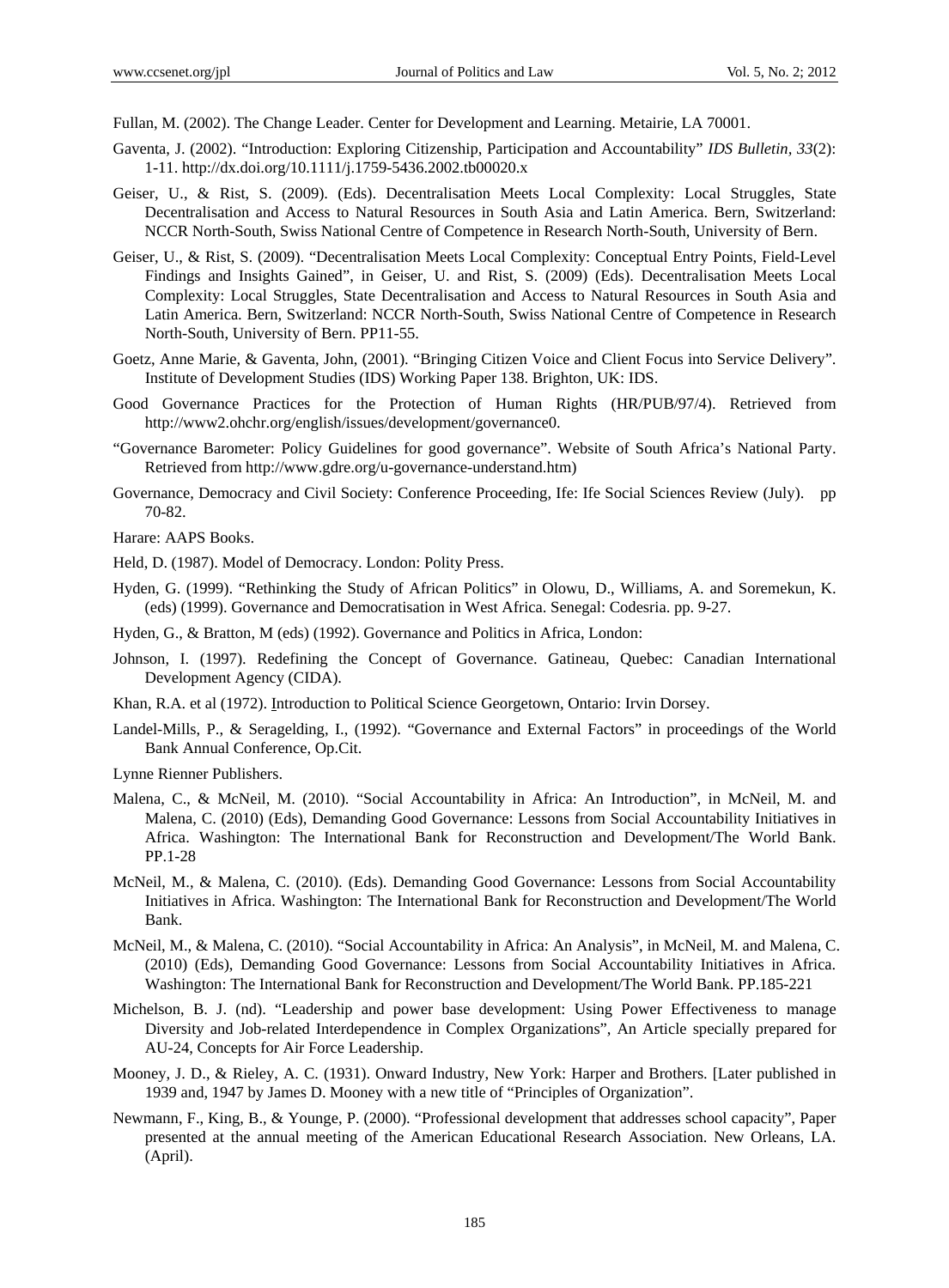Fullan, M. (2002). The Change Leader. Center for Development and Learning. Metairie, LA 70001.

- Gaventa, J. (2002). "Introduction: Exploring Citizenship, Participation and Accountability" *IDS Bulletin, 33*(2): 1-11. http://dx.doi.org/10.1111/j.1759-5436.2002.tb00020.x
- Geiser, U., & Rist, S. (2009). (Eds). Decentralisation Meets Local Complexity: Local Struggles, State Decentralisation and Access to Natural Resources in South Asia and Latin America. Bern, Switzerland: NCCR North-South, Swiss National Centre of Competence in Research North-South, University of Bern.
- Geiser, U., & Rist, S. (2009). "Decentralisation Meets Local Complexity: Conceptual Entry Points, Field-Level Findings and Insights Gained", in Geiser, U. and Rist, S. (2009) (Eds). Decentralisation Meets Local Complexity: Local Struggles, State Decentralisation and Access to Natural Resources in South Asia and Latin America. Bern, Switzerland: NCCR North-South, Swiss National Centre of Competence in Research North-South, University of Bern. PP11-55.
- Goetz, Anne Marie, & Gaventa, John, (2001). "Bringing Citizen Voice and Client Focus into Service Delivery". Institute of Development Studies (IDS) Working Paper 138. Brighton, UK: IDS.
- Good Governance Practices for the Protection of Human Rights (HR/PUB/97/4). Retrieved from http://www2.ohchr.org/english/issues/development/governance0.
- "Governance Barometer: Policy Guidelines for good governance". Website of South Africa's National Party. Retrieved from http://www.gdre.org/u-governance-understand.htm)
- Governance, Democracy and Civil Society: Conference Proceeding, Ife: Ife Social Sciences Review (July). pp 70-82.
- Harare: AAPS Books.
- Held, D. (1987). Model of Democracy. London: Polity Press.
- Hyden, G. (1999). "Rethinking the Study of African Politics" in Olowu, D., Williams, A. and Soremekun, K. (eds) (1999). Governance and Democratisation in West Africa. Senegal: Codesria. pp. 9-27.
- Hyden, G., & Bratton, M (eds) (1992). Governance and Politics in Africa, London:
- Johnson, I. (1997). Redefining the Concept of Governance. Gatineau, Quebec: Canadian International Development Agency (CIDA).
- Khan, R.A. et al (1972). Introduction to Political Science Georgetown, Ontario: Irvin Dorsey.
- Landel-Mills, P., & Seragelding, I., (1992). "Governance and External Factors" in proceedings of the World Bank Annual Conference, Op.Cit.
- Lynne Rienner Publishers.
- Malena, C., & McNeil, M. (2010). "Social Accountability in Africa: An Introduction", in McNeil, M. and Malena, C. (2010) (Eds), Demanding Good Governance: Lessons from Social Accountability Initiatives in Africa. Washington: The International Bank for Reconstruction and Development/The World Bank. PP.1-28
- McNeil, M., & Malena, C. (2010). (Eds). Demanding Good Governance: Lessons from Social Accountability Initiatives in Africa. Washington: The International Bank for Reconstruction and Development/The World Bank.
- McNeil, M., & Malena, C. (2010). "Social Accountability in Africa: An Analysis", in McNeil, M. and Malena, C. (2010) (Eds), Demanding Good Governance: Lessons from Social Accountability Initiatives in Africa. Washington: The International Bank for Reconstruction and Development/The World Bank. PP.185-221
- Michelson, B. J. (nd). "Leadership and power base development: Using Power Effectiveness to manage Diversity and Job-related Interdependence in Complex Organizations", An Article specially prepared for AU-24, Concepts for Air Force Leadership.
- Mooney, J. D., & Rieley, A. C. (1931). Onward Industry, New York: Harper and Brothers. [Later published in 1939 and, 1947 by James D. Mooney with a new title of "Principles of Organization".
- Newmann, F., King, B., & Younge, P. (2000). "Professional development that addresses school capacity", Paper presented at the annual meeting of the American Educational Research Association. New Orleans, LA. (April).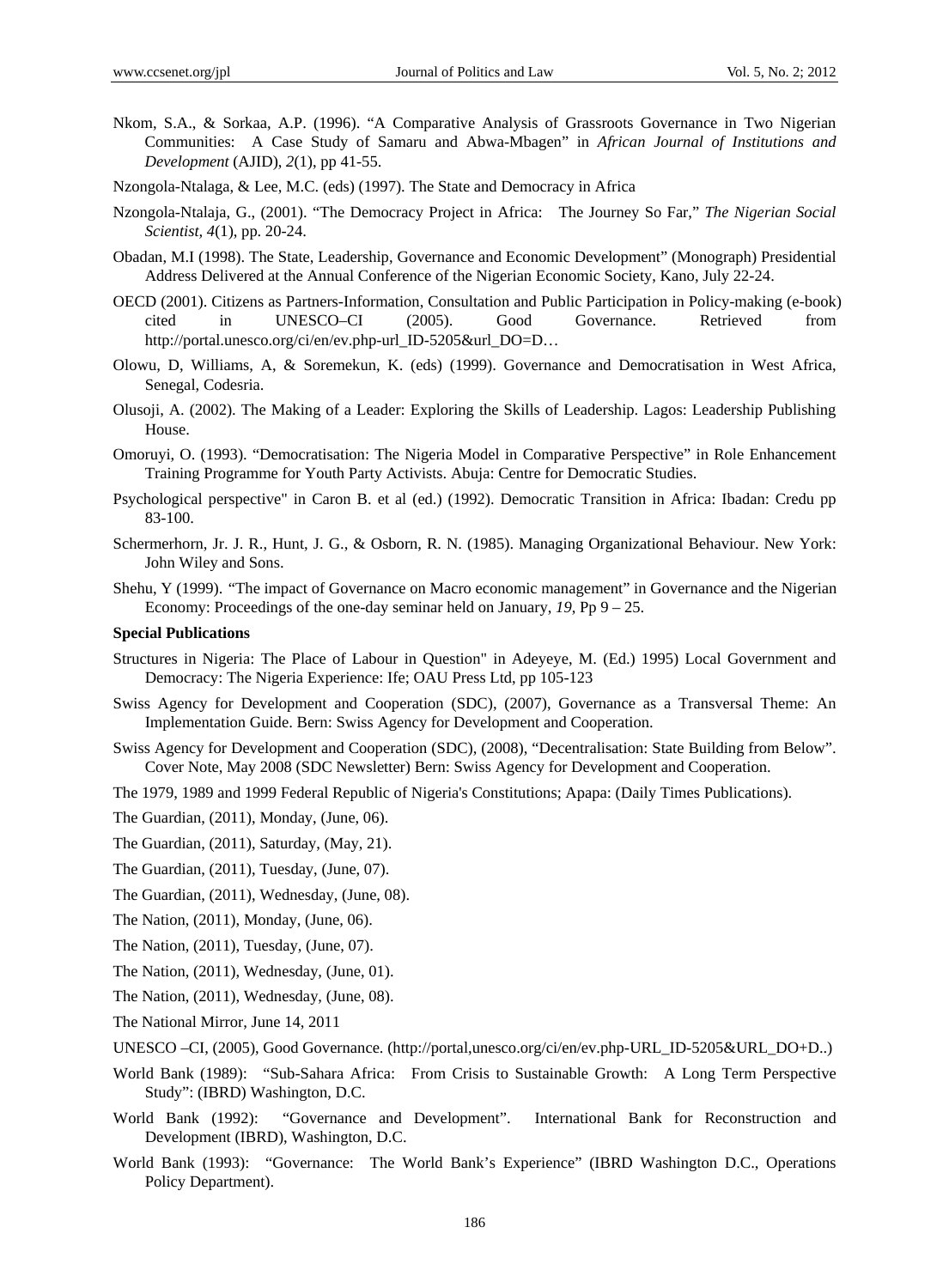Nkom, S.A., & Sorkaa, A.P. (1996). "A Comparative Analysis of Grassroots Governance in Two Nigerian Communities: A Case Study of Samaru and Abwa-Mbagen" in *African Journal of Institutions and Development* (AJID), *2*(1), pp 41-55.

Nzongola-Ntalaga, & Lee, M.C. (eds) (1997). The State and Democracy in Africa

- Nzongola-Ntalaja, G., (2001). "The Democracy Project in Africa: The Journey So Far," *The Nigerian Social Scientist, 4*(1), pp. 20-24.
- Obadan, M.I (1998). The State, Leadership, Governance and Economic Development" (Monograph) Presidential Address Delivered at the Annual Conference of the Nigerian Economic Society, Kano, July 22-24.
- OECD (2001). Citizens as Partners-Information, Consultation and Public Participation in Policy-making (e-book) cited in UNESCO–CI (2005). Good Governance. Retrieved from http://portal.unesco.org/ci/en/ev.php-url\_ID-5205&url\_DO=D…
- Olowu, D, Williams, A, & Soremekun, K. (eds) (1999). Governance and Democratisation in West Africa, Senegal, Codesria.
- Olusoji, A. (2002). The Making of a Leader: Exploring the Skills of Leadership. Lagos: Leadership Publishing House.
- Omoruyi, O. (1993). "Democratisation: The Nigeria Model in Comparative Perspective" in Role Enhancement Training Programme for Youth Party Activists. Abuja: Centre for Democratic Studies.
- Psychological perspective" in Caron B. et al (ed.) (1992). Democratic Transition in Africa: Ibadan: Credu pp 83-100.
- Schermerhorn, Jr. J. R., Hunt, J. G., & Osborn, R. N. (1985). Managing Organizational Behaviour. New York: John Wiley and Sons.
- Shehu, Y (1999). "The impact of Governance on Macro economic management" in Governance and the Nigerian Economy: Proceedings of the one-day seminar held on January, *19*, Pp 9 – 25.

#### **Special Publications**

- Structures in Nigeria: The Place of Labour in Question" in Adeyeye, M. (Ed.) 1995) Local Government and Democracy: The Nigeria Experience: Ife; OAU Press Ltd, pp 105-123
- Swiss Agency for Development and Cooperation (SDC), (2007), Governance as a Transversal Theme: An Implementation Guide. Bern: Swiss Agency for Development and Cooperation.
- Swiss Agency for Development and Cooperation (SDC), (2008), "Decentralisation: State Building from Below". Cover Note, May 2008 (SDC Newsletter) Bern: Swiss Agency for Development and Cooperation.
- The 1979, 1989 and 1999 Federal Republic of Nigeria's Constitutions; Apapa: (Daily Times Publications).

The Guardian, (2011), Monday, (June, 06).

- The Guardian, (2011), Saturday, (May, 21).
- The Guardian, (2011), Tuesday, (June, 07).
- The Guardian, (2011), Wednesday, (June, 08).
- The Nation, (2011), Monday, (June, 06).
- The Nation, (2011), Tuesday, (June, 07).
- The Nation, (2011), Wednesday, (June, 01).
- The Nation, (2011), Wednesday, (June, 08).
- The National Mirror, June 14, 2011
- UNESCO –CI, (2005), Good Governance. (http://portal,unesco.org/ci/en/ev.php-URL\_ID-5205&URL\_DO+D..)
- World Bank (1989): "Sub-Sahara Africa: From Crisis to Sustainable Growth: A Long Term Perspective Study": (IBRD) Washington, D.C.
- World Bank (1992): "Governance and Development". International Bank for Reconstruction and Development (IBRD), Washington, D.C.
- World Bank (1993): "Governance: The World Bank's Experience" (IBRD Washington D.C., Operations Policy Department).